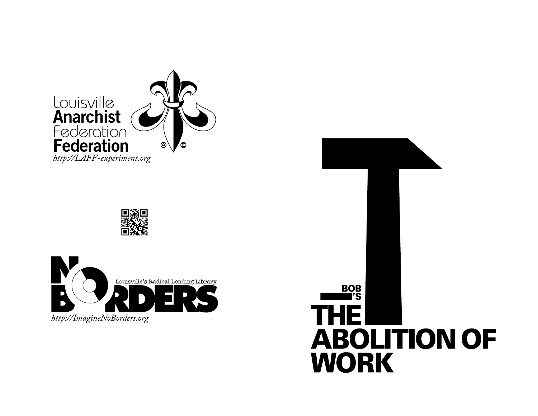





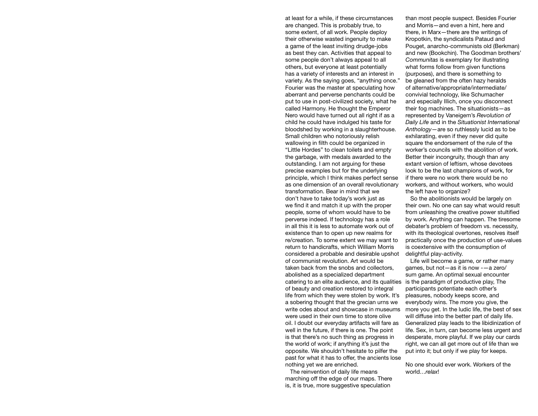at least for a while, if these circumstances are changed. This is probably true, to some extent, of all work. People deploy their otherwise wasted ingenuity to make a game of the least inviting drudge-jobs as best they can. Activities that appeal to some people don't always appeal to all others, but everyone at least potentially has a variety of interests and an interest in variety. As the saying goes, "anything once." Fourier was the master at speculating how aberrant and perverse penchants could be put to use in post-civilized society, what he called Harmony. He thought the Emperor Nero would have turned out all right if as a child he could have indulged his taste for bloodshed by working in a slaughterhouse. Small children who notoriously relish wallowing in filth could be organized in "Little Hordes" to clean toilets and empty the garbage, with medals awarded to the outstanding. I am not arguing for these precise examples but for the underlying principle, which I think makes perfect sense as one dimension of an overall revolutionary transformation. Bear in mind that we don't have to take today's work just as we find it and match it up with the proper people, some of whom would have to be perverse indeed. If technology has a role in all this it is less to automate work out of existence than to open up new realms for re/creation. To some extent we may want to return to handicrafts, which William Morris considered a probable and desirable upshot of communist revolution. Art would be taken back from the snobs and collectors, abolished as a specialized department catering to an elite audience, and its qualities is the paradigm of productive play, The of beauty and creation restored to integral life from which they were stolen by work. It's a sobering thought that the grecian urns we write odes about and showcase in museums were used in their own time to store olive oil. I doubt our everyday artifacts will fare as well in the future, if there is one. The point is that there's no such thing as progress in the world of work; if anything it's just the opposite. We shouldn't hesitate to pilfer the past for what it has to offer, the ancients lose nothing yet we are enriched.

 The reinvention of daily life means marching off the edge of our maps. There is, it is true, more suggestive speculation

than most people suspect. Besides Fourier and Morris—and even a hint, here and there, in Marx—there are the writings of Kropotkin, the syndicalists Pataud and Pouget, anarcho-communists old (Berkman) and new (Bookchin). The Goodman brothers' *Communitas* is exemplary for illustrating what forms follow from given functions (purposes), and there is something to be gleaned from the often hazy heralds of alternative/appropriate/intermediate/ convivial technology, like Schumacher and especially Illich, once you disconnect their fog machines. The situationists—as represented by Vaneigem's *Revolution of Daily Life* and in the *Situationist International Anthology*—are so ruthlessly lucid as to be exhilarating, even if they never did quite square the endorsement of the rule of the worker's councils with the abolition of work. Better their incongruity, though than any extant version of leftism, whose devotees look to be the last champions of work, for if there were no work there would be no workers, and without workers, who would the left have to organize?

 So the abolitionists would be largely on their own. No one can say what would result from unleashing the creative power stultified by work. Anything can happen. The tiresome debater's problem of freedom vs. necessity, with its theological overtones, resolves itself practically once the production of use-values is coextensive with the consumption of delightful play-activity.

 Life will become a game, or rather many games, but not—as it is now -—a zero/ sum game. An optimal sexual encounter participants potentiate each other's pleasures, nobody keeps score, and everybody wins. The more you give, the more you get. In the ludic life, the best of sex will diffuse into the better part of daily life. Generalized play leads to the libidinization of life. Sex, in turn, can become less urgent and desperate, more playful. If we play our cards right, we can all get more out of life than we put into it; but only if we play for keeps.

No one should ever work. Workers of the world…*relax*!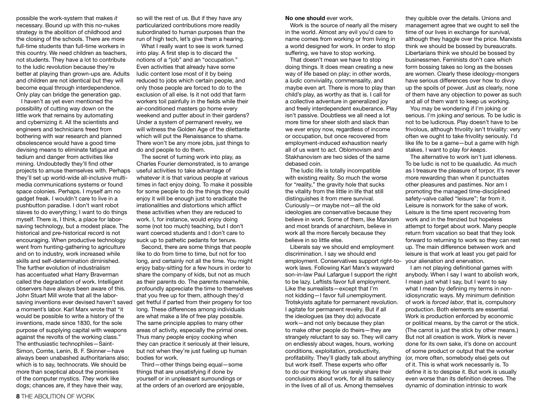possible the work-system that makes *it* necessary. Bound up with this no-nukes strategy is the abolition of childhood and the closing of the schools. There are more full-time students than full-time workers in this country. We need children as teachers, not students. They have a lot to contribute to the ludic revolution because they're better at playing than grown-ups are. Adults and children are not identical but they will become equal through interdependence. Only play can bridge the generation gap.

 I haven't as yet even mentioned the possibility of cutting way down on the little work that remains by automating and cybernizing it. All the scientists and engineers and technicians freed from bothering with war research and planned obsolescence would have a good time devising means to eliminate fatigue and tedium and danger from activities like mining. Undoubtedly they'll find other projects to amuse themselves with. Perhaps they'll set up world-wide all-inclusive multimedia communications systems or found space colonies. Perhaps. I myself am no gadget freak. I wouldn't care to live in a pushbutton paradise. I don't want robot slaves to do everything; I want to do things myself. There is, I think, a place for laborsaving technology, but a modest place. The historical and pre-historical record is not encouraging. When productive technology went from hunting-gathering to agriculture and on to industry, work increased while skills and self-determination diminished. The further evolution of industrialism has accentuated what Harry Braverman called the degradation of work. Intelligent observers have always been aware of this. John Stuart Mill wrote that all the laborsaving inventions ever devised haven't saved a moment's labor. Karl Marx wrote that "it would be possible to write a history of the inventions, made since 1830, for the sole purpose of supplying capital with weapons against the revolts of the working class." The enthusiastic technophiles—Saint-Simon, Comte, Lenin, B. F. Skinner—have always been unabashed authoritarians also; which is to say, technocrats. We should be more than sceptical about the promises of the computer mystics. *They* work like dogs; chances are, if they have their way,

so will the rest of us. But if they have any particularized contributions more readily subordinated to human purposes than the run of high tech, let's give them a hearing.

 What I really want to see is work turned into play. A first step is to discard the notions of a "job" and an "occupation." Even activities that already have some ludic content lose most of it by being reduced to jobs which certain people, and only those people are forced to do to the exclusion of all else. Is it not odd that farm workers toil painfully in the fields while their air-conditioned masters go home every weekend and putter about in their gardens? Under a system of permanent revelry, we will witness the Golden Age of the dilettante which will put the Renaissance to shame. There won't be any more jobs, just things to do and people to do them.

 The secret of turning work into play, as Charles Fourier demonstrated, is to arrange useful activities to take advantage of whatever it is that various people at various times in fact enjoy doing. To make it possible for some people to do the things they could enjoy it will be enough just to eradicate the irrationalities and distortions which afflict these activities when they are reduced to work. I, for instance, would enjoy doing some (not too much) teaching, but I don't want coerced students and I don't care to suck up to pathetic pedants for tenure.

 Second, there are some things that people like to do from time to time, but not for too long, and certainly not all the time. You might enjoy baby-sitting for a few hours in order to share the company of kids, but not as much as their parents do. The parents meanwhile, profoundly appreciate the time to themselves that you free up for them, although they'd get fretful if parted from their progeny for too long. These differences among individuals are what make a life of free play possible. The same principle applies to many other areas of activity, especially the primal ones. Thus many people enjoy cooking when they can practice it seriously at their leisure, but not when they're just fueling up human bodies for work.

 Third—other things being equal—some things that are unsatisfying if done by yourself or in unpleasant surroundings or at the orders of an overlord are enjoyable,

## No one should ever work.

 Work is the source of nearly all the misery in the world. Almost any evil you'd care to name comes from working or from living in a world designed for work. In order to stop suffering, we have to stop working.

 That doesn't mean we have to stop doing things. It does mean creating a new way of life based on play; in other words, a *ludic* conviviality, commensality, and maybe even art. There is more to play than child's play, as worthy as that is. I call for a collective adventure in generalized joy and freely interdependent exuberance. Play isn't passive. Doubtless we all need a lot more time for sheer sloth and slack than we ever enjoy now, regardless of income or occupation, but once recovered from employment-induced exhaustion nearly all of us want to act. Oblomovism and Stakhanovism are two sides of the same debased coin.

 The ludic life is totally incompatible with existing reality. So much the worse for "reality," the gravity hole that sucks the vitality from the little in life that still distinguishes it from mere survival. Curiously—or maybe not—all the old ideologies are conservative because they believe in work. Some of them, like Marxism and most brands of anarchism, believe in work all the more fiercely because they believe in so little else.

 Liberals say we should end employment discrimination. I say we should end employment. Conservatives support right-towork laws. Following Karl Marx's wayward son-in-law Paul Lafargue I support the right to be lazy. Leftists favor full employment. Like the surrealists—except that I'm not kidding—I favor full *un*employment. Trotskyists agitate for permanent revolution. I agitate for permanent revelry. But if all the ideologues (as they do) advocate work—and not only because they plan to make other people do theirs—they are strangely reluctant to say so. They will carry on endlessly about wages, hours, working conditions, exploitation, productivity, profitability. They'll gladly talk about anything but work itself. These experts who offer to do our thinking for us rarely share their conclusions about work, for all its saliency in the lives of all of us. Among themselves

they quibble over the details. Unions and management agree that we ought to sell the time of our lives in exchange for survival, although they haggle over the price. Marxists think we should be bossed by bureaucrats. Libertarians think we should be bossed by businessmen. Feminists don't care which form bossing takes so long as the bosses are women. Clearly these ideology-mongers have serious differences over how to divvy up the spoils of power. Just as clearly, none of them have any objection to power as such and all of them want to keep us working.

 You may be wondering if I'm joking or serious. I'm joking *and* serious. To be ludic is not to be ludicrous. Play doesn't have to be frivolous, although frivolity isn't triviality: very often we ought to take frivolity seriously. I'd like life to be a game—but a game with high stakes. I want to play *for keeps*.

 The alternative to work isn't just idleness. To be ludic is not to be quaaludic. As much as I treasure the pleasure of torpor, it's never more rewarding than when it punctuates other pleasures and pastimes. Nor am I promoting the managed time-disciplined safety-valve called "leisure"; far from it. Leisure is nonwork for the sake of work. Leisure is the time spent recovering from work and in the frenzied but hopeless attempt to forget about work. Many people return from vacation so beat that they look forward to returning to work so they can rest up. The main difference between work and leisure is that work at least you get paid for your alienation and enervation.

 I am not playing definitional games with anybody. When I say I want to abolish work, I mean just what I say, but I want to say what I mean by defining my terms in nonidiosyncratic ways. My minimum definition of work is *forced labor*, that is, compulsory production. Both elements are essential. Work is production enforced by economic or political means, by the carrot or the stick. (The carrot is just the stick by other means.) But not all creation is work. Work is never done for its own sake, it's done on account of some product or output that the worker (or, more often, somebody else) gets out of it. This is what work necessarily is. To define it is to despise it. But work is usually even worse than its definition decrees. The dynamic of domination intrinsic to work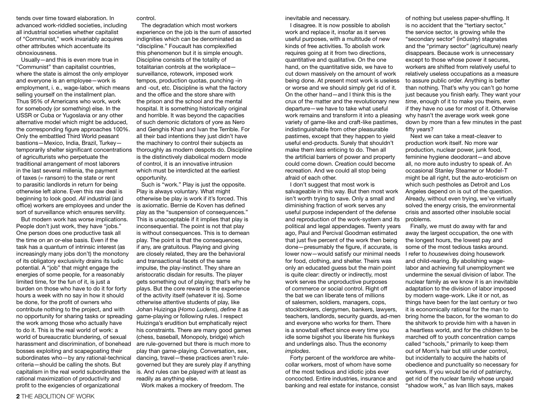tends over time toward elaboration. In advanced work-riddled societies, including all industrial societies whether capitalist of "Communist," work invariably acquires other attributes which accentuate its obnoxiousness.

 Usually—and this is even more true in "Communist" than capitalist countries, where the state is almost the only employer and everyone is an employee—work is employment, i. e., wage-labor, which means selling yourself on the installment plan. Thus 95% of Americans who work, work for somebody (or some*thing*) else. In the USSR or Cuba or Yugoslavia or any other alternative model which might be adduced, the corresponding figure approaches 100%. Only the embattled Third World peasant bastions—Mexico, India, Brazil, Turkey temporarily shelter significant concentrations of agriculturists who perpetuate the traditional arrangement of most laborers in the last several millenia, the payment of taxes (= ransom) to the state or rent to parasitic landlords in return for being otherwise left alone. Even this raw deal is beginning to look good. *All* industrial (and office) workers are employees and under the sort of surveillance which ensures servility.

 But modern work has worse implications. People don't just work, they have "jobs." One person does one productive task all the time on an or-else basis. Even if the task has a quantum of intrinsic interest (as increasingly many jobs don't) the monotony of its obligatory exclusivity drains its ludic potential. A "job" that might engage the energies of some people, for a reasonably limited time, for the fun of it, is just a burden on those who have to do it for forty hours a week with no say in how it should be done, for the profit of owners who contribute nothing to the project, and with no opportunity for sharing tasks or spreading the work among those who actually have to do it. This is the real world of work: a world of bureaucratic blundering, of sexual harassment and discrimination, of bonehead bosses exploiting and scapegoating their subordinates who—by any rational-technical criteria—should be calling the shots. But capitalism in the real world subordinates the rational maximization of productivity and profit to the exigencies of organizational

control.

 The degradation which most workers experience on the job is the sum of assorted indignities which can be denominated as "discipline." Foucault has complexified this phenomenon but it is simple enough. Discipline consists of the totality of totalitarian controls at the workplace surveillance, rotework, imposed work tempos, production quotas, punching -in and -out, etc. Discipline is what the factory and the office and the store share with the prison and the school and the mental hospital. It is something historically original and horrible. It was beyond the capacities of such demonic dictators of yore as Nero and Genghis Khan and Ivan the Terrible. For all their bad intentions they just didn't have the machinery to control their subjects as thoroughly as modern despots do. Discipline is the distinctively diabolical modern mode of control, it is an innovative intrusion which must be interdicted at the earliest opportunity.

 Such is "work." Play is just the opposite. Play is always voluntary. What might otherwise be play is work if it's forced. This is axiomatic. Bernie de Koven has defined play as the "suspension of consequences." This is unacceptable if it implies that play is inconsequential. The point is not that play is without consequences. This is to demean play. The point is that the consequences, if any, are gratuitous. Playing and giving are closely related, they are the behavioral and transactional facets of the same impulse, the play-instinct. They share an aristocratic disdain for results. The player gets something out of playing; that's why he plays. But the core reward is the experience of the activity itself (whatever it is). Some otherwise attentive students of play, like Johan Huizinga (*Homo Ludens*), *define* it as game-playing or following rules. I respect Huizinga's erudition but emphatically reject his constraints. There are many good games (chess, baseball, Monopoly, bridge) which are rule-governed but there is much more to play than game-playing. Conversation, sex, dancing, travel—these practices aren't rulegoverned but they are surely play if anything is. And rules can be *played with* at least as readily as anything else.

Work makes a mockery of freedom. The

inevitable and necessary.

 I disagree. It is now possible to abolish work and replace it, insofar as it serves useful purposes, with a multitude of new kinds of free activities. To abolish work requires going at it from two directions, quantitative and qualitative. On the one hand, on the quantitative side, we have to cut down massively on the amount of work being done. At present most work is useless or worse and we should simply get rid of it. On the other hand—and I think this is the crux of the matter and the revolutionary new departure—we have to take what useful work remains and transform it into a pleasing why hasn't the average work week gone variety of game-like and craft-like pastimes, indistinguishable from other pleasurable pastimes, except that they happen to yield useful end-products. Surely that shouldn't make them *less* enticing to do. Then all the artificial barriers of power and property could come down. Creation could become recreation. And we could all stop being afraid of each other.

 I don't suggest that most work is salvageable in this way. But then most work isn't worth trying to save. Only a small and diminishing fraction of work serves any useful purpose independent of the defense and reproduction of the work-system and its political and legal appendages. Twenty years ago, Paul and Percival Goodman estimated that just five percent of the work then being done—presumably the figure, if accurate, is lower now—would satisfy our minimal needs for food, clothing, and shelter. Theirs was only an educated guess but the main point is quite clear: directly or indirectly, most work serves the unproductive purposes of commerce or social control. Right off the bat we can liberate tens of millions of salesmen, soldiers, managers, cops, stockbrokers, clergymen, bankers, lawyers, teachers, landlords, security guards, ad-men and everyone who works for them. There is a snowball effect since every time you idle some bigshot you liberate his flunkeys and underlings also. Thus the economy *implodes*.

 Forty percent of the workforce are whitecollar workers, most of whom have some of the most tedious and idiotic jobs ever concocted. Entire industries, insurance and banking and real estate for instance, consist

of nothing but useless paper-shuffling. It is no accident that the "tertiary sector," the service sector, is growing while the "secondary sector" (industry) stagnates and the "primary sector" (agriculture) nearly disappears. Because work is unnecessary except to those whose power it secures, workers are shifted from relatively useful to relatively useless occupations as a measure to assure public order. Anything is better than nothing. That's why you can't go home just because you finish early. They want your *time*, enough of it to make you theirs, even if they have no use for most of it. Otherwise down by more than a few minutes in the past fifty years?

 Next we can take a meat-cleaver to production work itself. No more war production, nuclear power, junk food, feminine hygiene deodorant—and above all, no more auto industry to speak of. An occasional Stanley Steamer or Model-T might be all right, but the auto-eroticism on which such pestholes as Detroit and Los Angeles depend on is out of the question. Already, without even trying, we've virtually solved the energy crisis, the environmental crisis and assorted other insoluble social problems.

 Finally, we must do away with far and away the largest occupation, the one with the longest hours, the lowest pay and some of the most tedious tasks around. I refer to *housewives* doing housework and child-rearing. By abolishing wagelabor and achieving full unemployment we undermine the sexual division of labor. The nuclear family as we know it is an inevitable adaptation to the division of labor imposed by modern wage-work. Like it or not, as things have been for the last century or two it is economically rational for the man to bring home the bacon, for the woman to do the shitwork to provide him with a haven in a heartless world, and for the children to be marched off to youth concentration camps called "schools," primarily to keep them out of Mom's hair but still under control, but incidentally to acquire the habits of obedience and punctuality so necessary for workers. If you would be rid of patriarchy, get rid of the nuclear family whose unpaid "shadow work," as Ivan Illich says, makes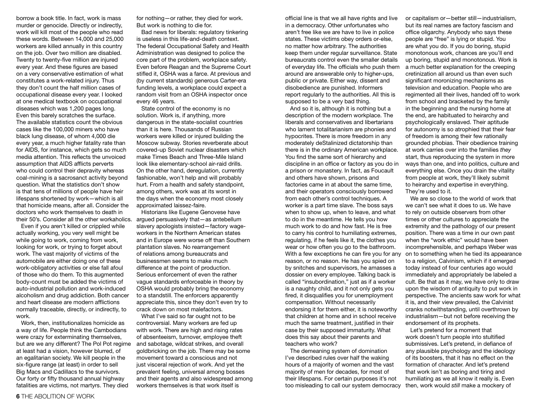borrow a book title. In fact, work is mass murder or genocide. Directly or indirectly, work will kill most of the people who read these words. Between 14,000 and 25,000 workers are killed annually in this country on the job. Over two million are disabled. Twenty to twenty-five million are injured every year. And these figures are based on a very conservative estimation of what constitutes a work-related injury. Thus they don't count the half million cases of occupational disease every year. I looked at one medical textbook on occupational diseases which was 1,200 pages long. Even this barely scratches the surface. The available statistics count the obvious cases like the 100,000 miners who have black lung disease, of whom 4,000 die every year, a much higher fatality rate than for AIDS, for instance, which gets so much media attention. This reflects the unvoiced assumption that AIDS afflicts perverts who could control their depravity whereas coal-mining is a sacrosanct activity beyond question. What the statistics don't show is that tens of millions of people have heir lifespans shortened by work—which is all that homicide means, after all. Consider the doctors who work themselves to death in

 Even if you aren't killed or crippled while actually working, you very well might be while going to work, coming from work, looking for work, or trying to forget about work. The vast majority of victims of the automobile are either doing one of these work-obligatory activities or else fall afoul of those who do them. To this augmented body-count must be added the victims of auto-industrial pollution and work-induced alcoholism and drug addiction. Both cancer and heart disease are modern afflictions normally traceable, directly, or indirectly, to work.

 Work, then, institutionalizes homicide as a way of life. People think the Cambodians were crazy for exterminating themselves, but are we any different? The Pol Pot regime at least had a vision, however blurred, of an egalitarian society. We kill people in the six-figure range (at least) in order to sell Big Macs and Cadillacs to the survivors. Our forty or fifty thousand annual highway fatalities are victims, not martyrs. They died

for nothing—or rather, they died for work. But work is nothing to die for.

 Bad news for liberals: regulatory tinkering is useless in this life-and-death context. The federal Occupational Safety and Health Administration was designed to police the core part of the problem, workplace safety. Even before Reagan and the Supreme Court stifled it, OSHA was a farce. At previous and (by current standards) generous Carter-era funding levels, a workplace could expect a random visit from an OSHA inspector once every 46 years.

 State control of the economy is no solution. Work is, if anything, more dangerous in the state-socialist countries than it is here. Thousands of Russian workers were killed or injured building the Moscow subway. Stories reverberate about covered-up Soviet nuclear disasters which make Times Beach and Three-Mile Island look like elementary-school air-raid drills. On the other hand, deregulation, currently fashionable, won't help and will probably hurt. From a health and safety standpoint, among others, work was at its worst in the days when the economy most closely approximated laissez-faire.

their 50's. Consider all the other workaholics. argued persuasively that—as antebellum Historians like Eugene Genovese have slavery apologists insisted—factory wageworkers in the Northern American states and in Europe were worse off than Southern plantation slaves. No rearrangement of relations among bureaucrats and businessmen seems to make much difference at the point of production. Serious enforcement of even the rather vague standards enforceable in theory by OSHA would probably bring the economy to a standstill. The enforcers apparently appreciate this, since they don't even try to crack down on most malefactors.

 What I've said so far ought not to be controversial. Many workers are fed up with work. There are high and rising rates of absenteeism, turnover, employee theft and sabotage, wildcat strikes, and overall goldbricking on the job. There may be some movement toward a conscious and not just visceral rejection of work. And yet the prevalent feeling, universal among bosses and their agents and also widespread among workers themselves is that work itself is

official line is that we all have rights and live in a democracy. Other unfortunates who aren't free like we are have to live in police states. These victims obey orders or-else, no matter how arbitrary. The authorities keep them under regular surveillance. State bureaucrats control even the smaller details of everyday life. The officials who push them around are answerable only to higher-ups, public or private. Either way, dissent and disobedience are punished. Informers report regularly to the authorities. All this is supposed to be a very bad thing.

 And so it is, although it is nothing but a description of the modern workplace. The liberals and conservatives and libertarians who lament totalitarianism are phonies and hypocrites. There is more freedom in any moderately deStalinized dictatorship than there is in the ordinary American workplace. You find the same sort of hierarchy and discipline in an office or factory as you do in a prison or monastery. In fact, as Foucault and others have shown, prisons and factories came in at about the same time, and their operators consciously borrowed from each other's control techniques. A worker is a part time slave. The boss says when to show up, when to leave, and what to do in the meantime. He tells you how much work to do and how fast. He is free to carry his control to humiliating extremes, regulating, if he feels like it, the clothes you wear or how often you go to the bathroom. With a few exceptions he can fire you for any reason, or no reason. He has you spied on by snitches and supervisors, he amasses a dossier on every employee. Talking back is called "insubordination," just as if a worker is a naughty child, and it not only gets you fired, it disqualifies you for unemployment compensation. Without necessarily endorsing it for them either, it is noteworthy that children at home and in school receive much the same treatment, justified in their case by their supposed immaturity. What

does this say about their parents and teachers who work? The demeaning system of domination I've described rules over half the waking hours of a majority of women and the vast majority of men for decades, for most of

their lifespans. For certain purposes it's not too misleading to call our system democracy

or capitalism or—better still—industrialism, but its real names are factory fascism and office oligarchy. Anybody who says these people are "free" is lying or stupid. You are what you do. If you do boring, stupid monotonous work, chances are you'll end up boring, stupid and monotonous. Work is a much better explanation for the creeping cretinization all around us than even such significant moronizing mechanisms as television and education. People who are regimented all their lives, handed off to work from school and bracketed by the family in the beginning and the nursing home at the end, are habituated to heirarchy and psychologically enslaved. Their aptitude for autonomy is so atrophied that their fear of freedom is among their few rationally grounded phobias. Their obedience training at work carries over into the families *they* start, thus reproducing the system in more ways than one, and into politics, culture and everything else. Once you drain the vitality from people at work, they'll likely submit to heirarchy and expertise in everything. They're used to it.

 We are so close to the world of work that we can't see what it does to us. We have to rely on outside observers from other times or other cultures to appreciate the extremity and the pathology of our present position. There was a time in our own past when the "work ethic" would have been incomprehensible, and perhaps Weber was on to something when he tied its appearance to a religion, Calvinism, which if it emerged today instead of four centuries ago would immediately and appropriately be labeled a cult. Be that as it may, we have only to draw upon the wisdom of antiquity to put work in perspective. The ancients saw work for what it is, and their view prevailed, the Calvinist cranks notwithstanding, until overthrown by industrialism—but not before receiving the endorsement of its prophets.

 Let's pretend for a moment that work doesn't turn people into stultified submissives. Let's pretend, in defiance of any plausible psychology and the ideology of its boosters, that it has no effect on the formation of character. And let's pretend that work isn't as boring and tiring and humiliating as we all know it really is. Even then, work would *still* make a mockery of